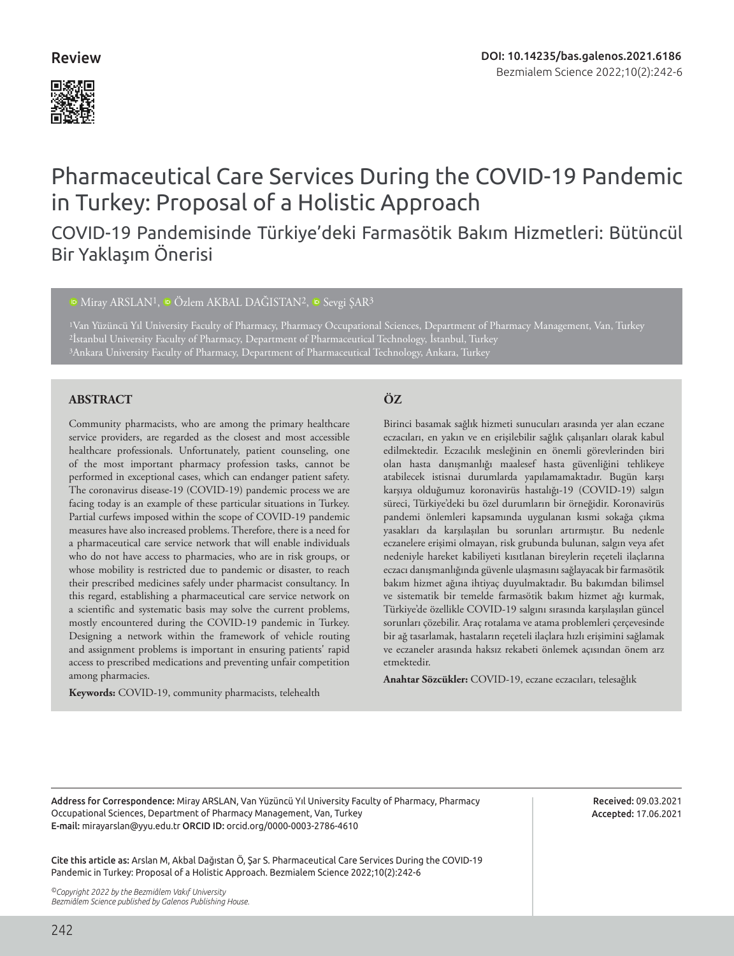### Review



# Pharmaceutical Care Services During the COVID-19 Pandemic in Turkey: Proposal of a Holistic Approach

## COVID-19 Pandemisinde Türkiye'deki Farmasötik Bakım Hizmetleri: Bütüncül Bir Yaklaşım Önerisi

#### <sup>10</sup>Miray ARSLAN<sup>1</sup>, <sup>10</sup> Özlem AKBAL DAĞISTAN<sup>2</sup>, <sup>10</sup> Sevgi ŞAR<sup>3</sup>

1Van Yüzüncü Yıl University Faculty of Pharmacy, Pharmacy Occupational Sciences, Department of Pharmacy Management, Van, Turkey 2İstanbul University Faculty of Pharmacy, Department of Pharmaceutical Technology, İstanbul, Turkey 3Ankara University Faculty of Pharmacy, Department of Pharmaceutical Technology, Ankara, Turkey

#### **ABSTRACT ÖZ**

Community pharmacists, who are among the primary healthcare service providers, are regarded as the closest and most accessible healthcare professionals. Unfortunately, patient counseling, one of the most important pharmacy profession tasks, cannot be performed in exceptional cases, which can endanger patient safety. The coronavirus disease-19 (COVID-19) pandemic process we are facing today is an example of these particular situations in Turkey. Partial curfews imposed within the scope of COVID-19 pandemic measures have also increased problems. Therefore, there is a need for a pharmaceutical care service network that will enable individuals who do not have access to pharmacies, who are in risk groups, or whose mobility is restricted due to pandemic or disaster, to reach their prescribed medicines safely under pharmacist consultancy. In this regard, establishing a pharmaceutical care service network on a scientific and systematic basis may solve the current problems, mostly encountered during the COVID-19 pandemic in Turkey. Designing a network within the framework of vehicle routing and assignment problems is important in ensuring patients' rapid access to prescribed medications and preventing unfair competition among pharmacies.

**Keywords:** COVID-19, community pharmacists, telehealth

Birinci basamak sağlık hizmeti sunucuları arasında yer alan eczane eczacıları, en yakın ve en erişilebilir sağlık çalışanları olarak kabul edilmektedir. Eczacılık mesleğinin en önemli görevlerinden biri olan hasta danışmanlığı maalesef hasta güvenliğini tehlikeye atabilecek istisnai durumlarda yapılamamaktadır. Bugün karşı karşıya olduğumuz koronavirüs hastalığı-19 (COVID-19) salgın süreci, Türkiye'deki bu özel durumların bir örneğidir. Koronavirüs pandemi önlemleri kapsamında uygulanan kısmi sokağa çıkma yasakları da karşılaşılan bu sorunları artırmıştır. Bu nedenle eczanelere erişimi olmayan, risk grubunda bulunan, salgın veya afet nedeniyle hareket kabiliyeti kısıtlanan bireylerin reçeteli ilaçlarına eczacı danışmanlığında güvenle ulaşmasını sağlayacak bir farmasötik bakım hizmet ağına ihtiyaç duyulmaktadır. Bu bakımdan bilimsel ve sistematik bir temelde farmasötik bakım hizmet ağı kurmak, Türkiye'de özellikle COVID-19 salgını sırasında karşılaşılan güncel sorunları çözebilir. Araç rotalama ve atama problemleri çerçevesinde bir ağ tasarlamak, hastaların reçeteli ilaçlara hızlı erişimini sağlamak ve eczaneler arasında haksız rekabeti önlemek açısından önem arz etmektedir.

**Anahtar Sözcükler:** COVID-19, eczane eczacıları, telesağlık

Address for Correspondence: Miray ARSLAN, Van Yüzüncü Yıl University Faculty of Pharmacy, Pharmacy Occupational Sciences, Department of Pharmacy Management, Van, Turkey E-mail: mirayarslan@yyu.edu.tr ORCID ID: orcid.org/0000-0003-2786-4610

Cite this article as: Arslan M, Akbal Dağıstan Ö, Şar S. Pharmaceutical Care Services During the COVID-19 Pandemic in Turkey: Proposal of a Holistic Approach. Bezmialem Science 2022;10(2):242-6

*©Copyright 2022 by the Bezmiâlem Vakıf University Bezmiâlem Science published by Galenos Publishing House.* Received: 09.03.2021 Accepted: 17.06.2021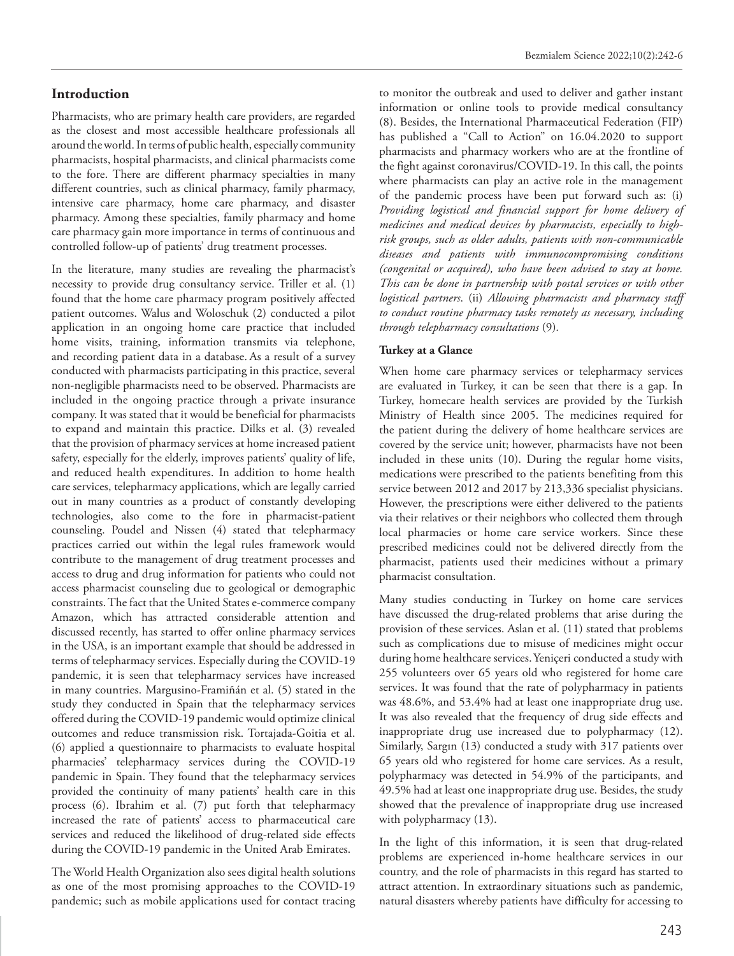#### **Introduction**

Pharmacists, who are primary health care providers, are regarded as the closest and most accessible healthcare professionals all around the world. In terms of public health, especially community pharmacists, hospital pharmacists, and clinical pharmacists come to the fore. There are different pharmacy specialties in many different countries, such as clinical pharmacy, family pharmacy, intensive care pharmacy, home care pharmacy, and disaster pharmacy. Among these specialties, family pharmacy and home care pharmacy gain more importance in terms of continuous and controlled follow-up of patients' drug treatment processes.

In the literature, many studies are revealing the pharmacist's necessity to provide drug consultancy service. Triller et al. (1) found that the home care pharmacy program positively affected patient outcomes. Walus and Woloschuk (2) conducted a pilot application in an ongoing home care practice that included home visits, training, information transmits via telephone, and recording patient data in a database. As a result of a survey conducted with pharmacists participating in this practice, several non-negligible pharmacists need to be observed. Pharmacists are included in the ongoing practice through a private insurance company. It was stated that it would be beneficial for pharmacists to expand and maintain this practice. Dilks et al. (3) revealed that the provision of pharmacy services at home increased patient safety, especially for the elderly, improves patients' quality of life, and reduced health expenditures. In addition to home health care services, telepharmacy applications, which are legally carried out in many countries as a product of constantly developing technologies, also come to the fore in pharmacist-patient counseling. Poudel and Nissen (4) stated that telepharmacy practices carried out within the legal rules framework would contribute to the management of drug treatment processes and access to drug and drug information for patients who could not access pharmacist counseling due to geological or demographic constraints. The fact that the United States e-commerce company Amazon, which has attracted considerable attention and discussed recently, has started to offer online pharmacy services in the USA, is an important example that should be addressed in terms of telepharmacy services. Especially during the COVID-19 pandemic, it is seen that telepharmacy services have increased in many countries. Margusino-Framiñán et al. (5) stated in the study they conducted in Spain that the telepharmacy services offered during the COVID-19 pandemic would optimize clinical outcomes and reduce transmission risk. Tortajada-Goitia et al. (6) applied a questionnaire to pharmacists to evaluate hospital pharmacies' telepharmacy services during the COVID-19 pandemic in Spain. They found that the telepharmacy services provided the continuity of many patients' health care in this process (6). Ibrahim et al. (7) put forth that telepharmacy increased the rate of patients' access to pharmaceutical care services and reduced the likelihood of drug-related side effects during the COVID-19 pandemic in the United Arab Emirates.

The World Health Organization also sees digital health solutions as one of the most promising approaches to the COVID-19 pandemic; such as mobile applications used for contact tracing to monitor the outbreak and used to deliver and gather instant information or online tools to provide medical consultancy (8). Besides, the International Pharmaceutical Federation (FIP) has published a "Call to Action" on 16.04.2020 to support pharmacists and pharmacy workers who are at the frontline of the fight against coronavirus/COVID-19. In this call, the points where pharmacists can play an active role in the management of the pandemic process have been put forward such as: (i) *Providing logistical and financial support for home delivery of medicines and medical devices by pharmacists, especially to highrisk groups, such as older adults, patients with non-communicable diseases and patients with immunocompromising conditions (congenital or acquired), who have been advised to stay at home. This can be done in partnership with postal services or with other logistical partners*. (ii) *Allowing pharmacists and pharmacy staff to conduct routine pharmacy tasks remotely as necessary, including through telepharmacy consultations* (9)*.*

#### **Turkey at a Glance**

When home care pharmacy services or telepharmacy services are evaluated in Turkey, it can be seen that there is a gap. In Turkey, homecare health services are provided by the Turkish Ministry of Health since 2005. The medicines required for the patient during the delivery of home healthcare services are covered by the service unit; however, pharmacists have not been included in these units (10). During the regular home visits, medications were prescribed to the patients benefiting from this service between 2012 and 2017 by 213,336 specialist physicians. However, the prescriptions were either delivered to the patients via their relatives or their neighbors who collected them through local pharmacies or home care service workers. Since these prescribed medicines could not be delivered directly from the pharmacist, patients used their medicines without a primary pharmacist consultation.

Many studies conducting in Turkey on home care services have discussed the drug-related problems that arise during the provision of these services. Aslan et al. (11) stated that problems such as complications due to misuse of medicines might occur during home healthcare services. Yeniçeri conducted a study with 255 volunteers over 65 years old who registered for home care services. It was found that the rate of polypharmacy in patients was 48.6%, and 53.4% had at least one inappropriate drug use. It was also revealed that the frequency of drug side effects and inappropriate drug use increased due to polypharmacy (12). Similarly, Sargın (13) conducted a study with 317 patients over 65 years old who registered for home care services. As a result, polypharmacy was detected in 54.9% of the participants, and 49.5% had at least one inappropriate drug use. Besides, the study showed that the prevalence of inappropriate drug use increased with polypharmacy (13).

In the light of this information, it is seen that drug-related problems are experienced in-home healthcare services in our country, and the role of pharmacists in this regard has started to attract attention. In extraordinary situations such as pandemic, natural disasters whereby patients have difficulty for accessing to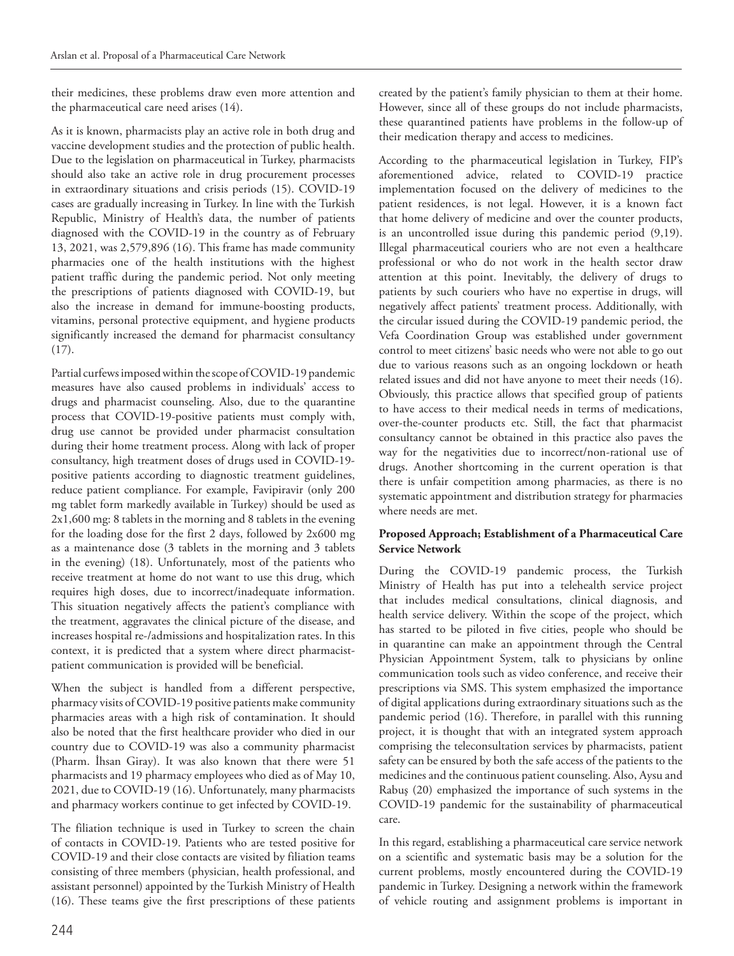their medicines, these problems draw even more attention and the pharmaceutical care need arises (14).

As it is known, pharmacists play an active role in both drug and vaccine development studies and the protection of public health. Due to the legislation on pharmaceutical in Turkey, pharmacists should also take an active role in drug procurement processes in extraordinary situations and crisis periods (15). COVID-19 cases are gradually increasing in Turkey. In line with the Turkish Republic, Ministry of Health's data, the number of patients diagnosed with the COVID-19 in the country as of February 13, 2021, was 2,579,896 (16). This frame has made community pharmacies one of the health institutions with the highest patient traffic during the pandemic period. Not only meeting the prescriptions of patients diagnosed with COVID-19, but also the increase in demand for immune-boosting products, vitamins, personal protective equipment, and hygiene products significantly increased the demand for pharmacist consultancy (17).

Partial curfews imposed within the scope of COVID-19 pandemic measures have also caused problems in individuals' access to drugs and pharmacist counseling. Also, due to the quarantine process that COVID-19-positive patients must comply with, drug use cannot be provided under pharmacist consultation during their home treatment process. Along with lack of proper consultancy, high treatment doses of drugs used in COVID-19 positive patients according to diagnostic treatment guidelines, reduce patient compliance. For example, Favipiravir (only 200 mg tablet form markedly available in Turkey) should be used as 2x1,600 mg: 8 tablets in the morning and 8 tablets in the evening for the loading dose for the first 2 days, followed by 2x600 mg as a maintenance dose (3 tablets in the morning and 3 tablets in the evening) (18). Unfortunately, most of the patients who receive treatment at home do not want to use this drug, which requires high doses, due to incorrect/inadequate information. This situation negatively affects the patient's compliance with the treatment, aggravates the clinical picture of the disease, and increases hospital re-/admissions and hospitalization rates. In this context, it is predicted that a system where direct pharmacistpatient communication is provided will be beneficial.

When the subject is handled from a different perspective, pharmacy visits of COVID-19 positive patients make community pharmacies areas with a high risk of contamination. It should also be noted that the first healthcare provider who died in our country due to COVID-19 was also a community pharmacist (Pharm. İhsan Giray). It was also known that there were 51 pharmacists and 19 pharmacy employees who died as of May 10, 2021, due to COVID-19 (16). Unfortunately, many pharmacists and pharmacy workers continue to get infected by COVID-19.

The filiation technique is used in Turkey to screen the chain of contacts in COVID-19. Patients who are tested positive for COVID-19 and their close contacts are visited by filiation teams consisting of three members (physician, health professional, and assistant personnel) appointed by the Turkish Ministry of Health (16). These teams give the first prescriptions of these patients created by the patient's family physician to them at their home. However, since all of these groups do not include pharmacists, these quarantined patients have problems in the follow-up of their medication therapy and access to medicines.

According to the pharmaceutical legislation in Turkey, FIP's aforementioned advice, related to COVID-19 practice implementation focused on the delivery of medicines to the patient residences, is not legal. However, it is a known fact that home delivery of medicine and over the counter products, is an uncontrolled issue during this pandemic period (9,19). Illegal pharmaceutical couriers who are not even a healthcare professional or who do not work in the health sector draw attention at this point. Inevitably, the delivery of drugs to patients by such couriers who have no expertise in drugs, will negatively affect patients' treatment process. Additionally, with the circular issued during the COVID-19 pandemic period, the Vefa Coordination Group was established under government control to meet citizens' basic needs who were not able to go out due to various reasons such as an ongoing lockdown or heath related issues and did not have anyone to meet their needs (16). Obviously, this practice allows that specified group of patients to have access to their medical needs in terms of medications, over-the-counter products etc. Still, the fact that pharmacist consultancy cannot be obtained in this practice also paves the way for the negativities due to incorrect/non-rational use of drugs. Another shortcoming in the current operation is that there is unfair competition among pharmacies, as there is no systematic appointment and distribution strategy for pharmacies where needs are met.

#### **Proposed Approach; Establishment of a Pharmaceutical Care Service Network**

During the COVID-19 pandemic process, the Turkish Ministry of Health has put into a telehealth service project that includes medical consultations, clinical diagnosis, and health service delivery. Within the scope of the project, which has started to be piloted in five cities, people who should be in quarantine can make an appointment through the Central Physician Appointment System, talk to physicians by online communication tools such as video conference, and receive their prescriptions via SMS. This system emphasized the importance of digital applications during extraordinary situations such as the pandemic period (16). Therefore, in parallel with this running project, it is thought that with an integrated system approach comprising the teleconsultation services by pharmacists, patient safety can be ensured by both the safe access of the patients to the medicines and the continuous patient counseling. Also, Aysu and Rabuş (20) emphasized the importance of such systems in the COVID-19 pandemic for the sustainability of pharmaceutical care.

In this regard, establishing a pharmaceutical care service network on a scientific and systematic basis may be a solution for the current problems, mostly encountered during the COVID-19 pandemic in Turkey. Designing a network within the framework of vehicle routing and assignment problems is important in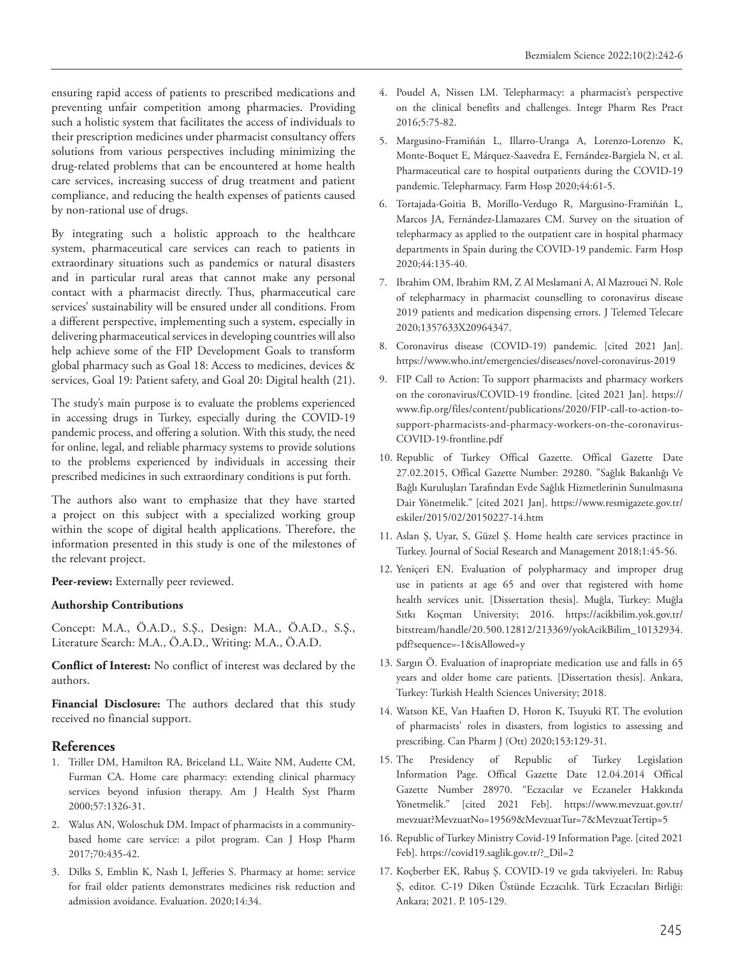ensuring rapid access of patients to prescribed medications and preventing unfair competition among pharmacies. Providing such a holistic system that facilitates the access of individuals to their prescription medicines under pharmacist consultancy offers solutions from various perspectives including minimizing the drug-related problems that can be encountered at home health care services, increasing success of drug treatment and patient compliance, and reducing the health expenses of patients caused by non-rational use of drugs.

By integrating such a holistic approach to the healthcare system, pharmaceutical care services can reach to patients in extraordinary situations such as pandemics or natural disasters and in particular rural areas that cannot make any personal contact with a pharmacist directly. Thus, pharmaceutical care services' sustainability will be ensured under all conditions. From a different perspective, implementing such a system, especially in delivering pharmaceutical services in developing countries will also help achieve some of the FIP Development Goals to transform global pharmacy such as Goal 18: Access to medicines, devices & services, Goal 19: Patient safety, and Goal 20: Digital health (21).

The study's main purpose is to evaluate the problems experienced in accessing drugs in Turkey, especially during the COVID-19 pandemic process, and offering a solution. With this study, the need for online, legal, and reliable pharmacy systems to provide solutions to the problems experienced by individuals in accessing their prescribed medicines in such extraordinary conditions is put forth.

The authors also want to emphasize that they have started a project on this subject with a specialized working group within the scope of digital health applications. Therefore, the information presented in this study is one of the milestones of the relevant project.

Peer-review: Externally peer reviewed.

#### **Authorship Contributions**

Concept: M.A., Ö.A.D., S.Ş., Design: M.A., Ö.A.D., S.Ş., Literature Search: M.A., Ö.A.D., Writing: M.A., Ö.A.D.

**Conflict of Interest:** No conflict of interest was declared by the authors.

**Financial Disclosure:** The authors declared that this study received no financial support.

#### **References**

- 1. Triller DM, Hamilton RA, Briceland LL, Waite NM, Audette CM, Furman CA. Home care pharmacy: extending clinical pharmacy services beyond infusion therapy. Am J Health Syst Pharm 2000;57:1326-31.
- 2. Walus AN, Woloschuk DM. Impact of pharmacists in a communitybased home care service: a pilot program. Can J Hosp Pharm 2017;70:435-42.
- 3. Dilks S, Emblin K, Nash I, Jefferies S. Pharmacy at home: service for frail older patients demonstrates medicines risk reduction and admission avoidance. Evaluation. 2020;14:34.
- 4. Poudel A, Nissen LM. Telepharmacy: a pharmacist's perspective on the clinical benefits and challenges. Integr Pharm Res Pract 2016;5:75-82.
- 5. Margusino-Framiñán L, Illarro-Uranga A, Lorenzo-Lorenzo K, Monte-Boquet E, Márquez-Saavedra E, Fernández-Bargiela N, et al. Pharmaceutical care to hospital outpatients during the COVID-19 pandemic. Telepharmacy. Farm Hosp 2020;44:61-5.
- 6. Tortajada-Goitia B, Morillo-Verdugo R, Margusino-Framiñán L, Marcos JA, Fernández-Llamazares CM. Survey on the situation of telepharmacy as applied to the outpatient care in hospital pharmacy departments in Spain during the COVID-19 pandemic. Farm Hosp 2020;44:135-40.
- 7. Ibrahim OM, Ibrahim RM, Z Al Meslamani A, Al Mazrouei N. Role of telepharmacy in pharmacist counselling to coronavirus disease 2019 patients and medication dispensing errors. J Telemed Telecare 2020;1357633X20964347.
- 8. Coronavirus disease (COVID-19) pandemic. [cited 2021 Jan]. https://www.who.int/emergencies/diseases/novel-coronavirus-2019
- 9. FIP Call to Action: To support pharmacists and pharmacy workers on the coronavirus/COVID-19 frontline. [cited 2021 Jan]. https:// www.fip.org/files/content/publications/2020/FIP-call-to-action-tosupport-pharmacists-and-pharmacy-workers-on-the-coronavirus-COVID-19-frontline.pdf
- 10. Republic of Turkey Offical Gazette. Offical Gazette Date 27.02.2015, Offical Gazette Number: 29280. "Sağlık Bakanlığı Ve Bağlı Kuruluşları Tarafından Evde Sağlık Hizmetlerinin Sunulmasına Dair Yönetmelik." [cited 2021 Jan]. https://www.resmigazete.gov.tr/ eskiler/2015/02/20150227-14.htm
- 11. Aslan Ş, Uyar, S, Güzel Ş. Home health care services practince in Turkey. Journal of Social Research and Management 2018;1:45-56.
- 12. Yeniçeri EN. Evaluation of polypharmacy and improper drug use in patients at age 65 and over that registered with home health services unit. [Dissertation thesis]. Muğla, Turkey: Muğla Sıtkı Koçman University; 2016. https://acikbilim.yok.gov.tr/ bitstream/handle/20.500.12812/213369/yokAcikBilim\_10132934. pdf?sequence=-1&isAllowed=y
- 13. Sargın Ö. Evaluation of inapropriate medication use and falls in 65 years and older home care patients. [Dissertation thesis]. Ankara, Turkey: Turkish Health Sciences University; 2018.
- 14. Watson KE, Van Haaften D, Horon K, Tsuyuki RT. The evolution of pharmacists' roles in disasters, from logistics to assessing and prescribing. Can Pharm J (Ott) 2020;153:129-31.
- 15. The Presidency of Republic of Turkey Legislation Information Page. Offical Gazette Date 12.04.2014 Offical Gazette Number 28970. "Eczacılar ve Eczaneler Hakkında Yönetmelik." [cited 2021 Feb]. https://www.mevzuat.gov.tr/ mevzuat?MevzuatNo=19569&MevzuatTur=7&MevzuatTertip=5
- 16. Republic of Turkey Ministry Covid-19 Information Page. [cited 2021 Feb]. https://covid19.saglik.gov.tr/?\_Dil=2
- 17. Koçberber EK, Rabuş Ş. COVID-19 ve gıda takviyeleri. In: Rabuş Ş, editor. C-19 Diken Üstünde Eczacılık. Türk Eczacıları Birliği: Ankara; 2021. P. 105-129.